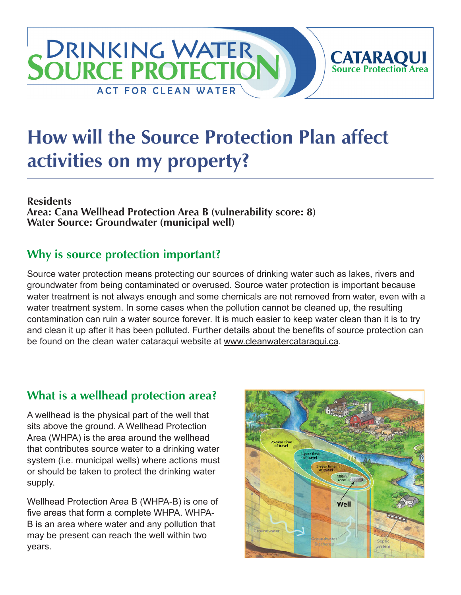## **DRINKING WATER CATARAQUI**<br>Source Protection Area **SOURCE PROTECTIC ACT FOR CLEAN WATER**

# **How will the Source Protection Plan affect activities on my property?**

#### **Residents**

**Area: Cana Wellhead Protection Area B (vulnerability score: 8) Water Source: Groundwater (municipal well)**

### **Why is source protection important?**

Source water protection means protecting our sources of drinking water such as lakes, rivers and groundwater from being contaminated or overused. Source water protection is important because water treatment is not always enough and some chemicals are not removed from water, even with a water treatment system. In some cases when the pollution cannot be cleaned up, the resulting contamination can ruin a water source forever. It is much easier to keep water clean than it is to try and clean it up after it has been polluted. Further details about the benefits of source protection can be found on the clean water cataraqui website at [www.cleanwatercataraqui.ca.](http://www.cleanwatercataraqui.ca)

## **What is a wellhead protection area?**

A wellhead is the physical part of the well that sits above the ground. A Wellhead Protection Area (WHPA) is the area around the wellhead that contributes source water to a drinking water system (i.e. municipal wells) where actions must or should be taken to protect the drinking water supply.

Wellhead Protection Area B (WHPA-B) is one of five areas that form a complete WHPA. WHPA-B is an area where water and any pollution that may be present can reach the well within two years.

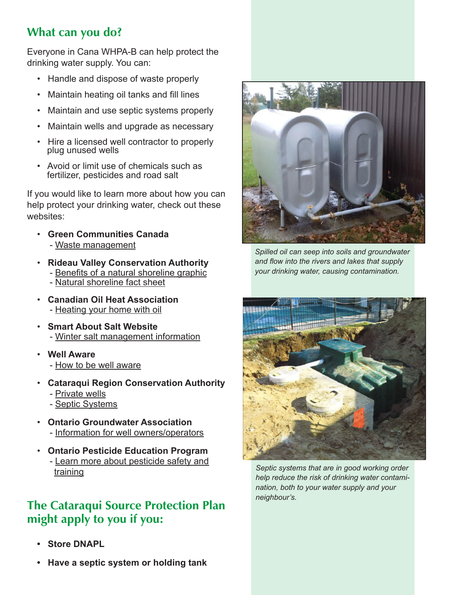## **What can you do?**

Everyone in Cana WHPA-B can help protect the drinking water supply. You can:

- Handle and dispose of waste properly
- Maintain heating oil tanks and fill lines
- Maintain and use septic systems properly
- Maintain wells and upgrade as necessary
- Hire a licensed well contractor to properly plug unused wells
- Avoid or limit use of chemicals such as fertilizer, pesticides and road salt

If you would like to learn more about how you can help protect your drinking water, check out these websites:

- **Green Communities Canada** - [Waste management](http://www.greencommunities.nonprofitwebsites.ca/what-we-work-on/waste/)
- **Rideau Valley Conservation Authority** - [Benefits of a natural shoreline graphic](http://www.crca.ca/wp-content/uploads/PDFs/ShorelineNaturalization-RVCA.pdf) - [Natural shoreline fact sheet](http://www.rvca.ca/programs/shoreline_naturalization_program/PDF/Benefits%20of%20a%20Natural%20Shoreline.pdf)
- **Canadian Oil Heat Association** - [Heating your home with oil](http://www.coha-ontario.ca/)
- **Smart About Salt Website** - [Winter salt management information](http://www.smartaboutsalt.com/)
- **Well Aware** - [How to be well aware](http://www.wellaware.ca/)
- **Cataraqui Region Conservation Authority** - [Private wells](http://www.cleanwatercataraqui.ca/publications/private_wells.pdf)
	- - [Septic Systems](http://www.cleanwatercataraqui.ca/publications/septic_systems.pdf)
- **Ontario Groundwater Association** - [Information for well owners/operators](http://www.ogwa.ca/)
- **Ontario Pesticide Education Program** - [Learn more about pesticide safety and](http://www.opep.ca/)  [training](http://www.opep.ca/)

#### **The Cataraqui Source Protection Plan might apply to you if you:**

- **Store DNAPL**
- **Have a septic system or holding tank**



*Spilled oil can seep into soils and groundwater and flow into the rivers and lakes that supply your drinking water, causing contamination.*



*Septic systems that are in good working order help reduce the risk of drinking water contamination, both to your water supply and your neighbour's.*